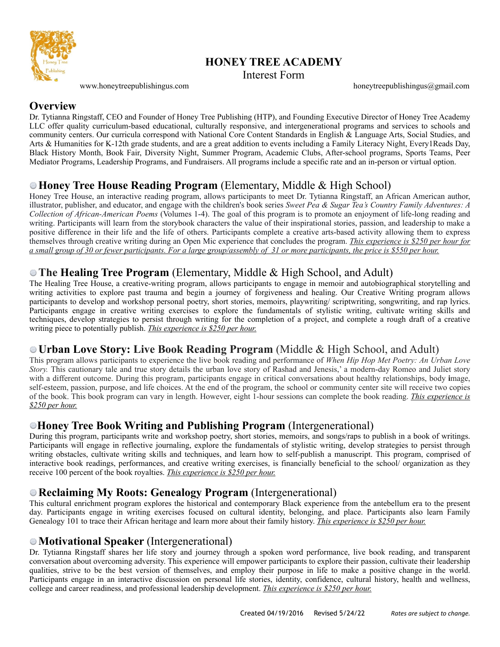

# **HONEY TREE ACADEMY**

Interest Form

[www.honeytreepublishingus.com](http://www.honeytreepublishingus.com) [honeytreepublishingus@gmail.com](mailto:honeytreepublishingus@gmail.com)

#### **Overview**

Dr. Tytianna Ringstaff, CEO and Founder of Honey Tree Publishing (HTP), and Founding Executive Director of Honey Tree Academy LLC offer quality curriculum-based educational, culturally responsive, and intergenerational programs and services to schools and community centers. Our curricula correspond with National Core Content Standards in English & Language Arts, Social Studies, and Arts & Humanities for K-12th grade students, and are a great addition to events including a Family Literacy Night, Every1Reads Day, Black History Month, Book Fair, Diversity Night, Summer Program, Academic Clubs, After-school programs, Sports Teams, Peer Mediator Programs, Leadership Programs, and Fundraisers. All programs include a specific rate and an in-person or virtual option.

## **Honey Tree House Reading Program** (Elementary, Middle & High School)

Honey Tree House, an interactive reading program, allows participants to meet Dr. Tytianna Ringstaff, an African American author, illustrator, publisher, and educator, and engage with the children's book series *Sweet Pea & Sugar Tea's Country Family Adventures: A Collection of African-American Poems* (Volumes 1-4). The goal of this program is to promote an enjoyment of life-long reading and writing. Participants will learn from the storybook characters the value of their inspirational stories, passion, and leadership to make a positive difference in their life and the life of others. Participants complete a creative arts-based activity allowing them to express themselves through creative writing during an Open Mic experience that concludes the program. *This experience is \$250 per hour for a small group of 30 or fewer participants. For a large group/assembly of 31 or more participants, the price is \$550 per hour.*

## **The Healing Tree Program** (Elementary, Middle & High School, and Adult)

The Healing Tree House, a creative-writing program, allows participants to engage in memoir and autobiographical storytelling and writing activities to explore past trauma and begin a journey of forgiveness and healing. Our Creative Writing program allows participants to develop and workshop personal poetry, short stories, memoirs, playwriting/ scriptwriting, songwriting, and rap lyrics. Participants engage in creative writing exercises to explore the fundamentals of stylistic writing, cultivate writing skills and techniques, develop strategies to persist through writing for the completion of a project, and complete a rough draft of a creative writing piece to potentially publish. *This experience is \$250 per hour.*

#### **Urban Love Story: Live Book Reading Program** (Middle & High School, and Adult)

This program allows participants to experience the live book reading and performance of *When Hip Hop Met Poetry: An Urban Love Story*. This cautionary tale and true story details the urban love story of Rashad and Jenesis,' a modern-day Romeo and Juliet story with a different outcome. During this program, participants engage in critical conversations about healthy relationships, body **i**mage, self-esteem, passion, purpose, and life choices. At the end of the program, the school or community center site will receive two copies of the book. This book program can vary in length. However, eight 1-hour sessions can complete the book reading. *This experience is \$250 per hour.*

#### **Honey Tree Book Writing and Publishing Program** (Intergenerational)

During this program, participants write and workshop poetry, short stories, memoirs, and songs/raps to publish in a book of writings. Participants will engage in reflective journaling, explore the fundamentals of stylistic writing, develop strategies to persist through writing obstacles, cultivate writing skills and techniques, and learn how to self-publish a manuscript. This program, comprised of interactive book readings, performances, and creative writing exercises, is financially beneficial to the school/ organization as they receive 100 percent of the book royalties. *This experience is \$250 per hour.*

#### **Reclaiming My Roots: Genealogy Program** (Intergenerational)

This cultural enrichment program explores the historical and contemporary Black experience from the antebellum era to the present day. Participants engage in writing exercises focused on cultural identity, belonging, and place. Participants also learn Family Genealogy 101 to trace their African heritage and learn more about their family history. *This experience is \$250 per hour.*

#### **Motivational Speaker** (Intergenerational)

Dr. Tytianna Ringstaff shares her life story and journey through a spoken word performance, live book reading, and transparent conversation about overcoming adversity. This experience will empower participants to explore their passion, cultivate their leadership qualities, strive to be the best version of themselves, and employ their purpose in life to make a positive change in the world. Participants engage in an interactive discussion on personal life stories, identity, confidence, cultural history, health and wellness, college and career readiness, and professional leadership development. *This experience is \$250 per hour.*